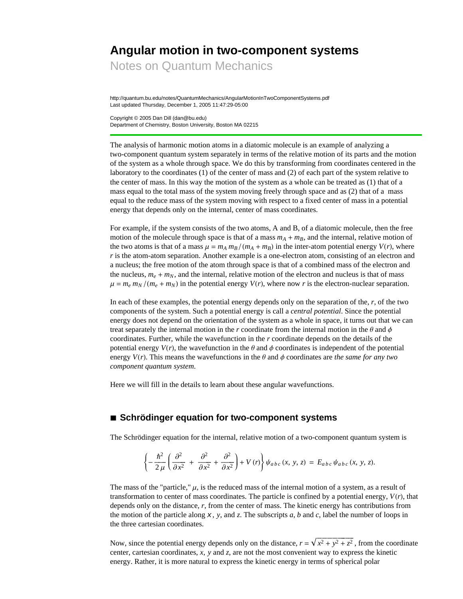# **Angular motion in two-component systems**

Notes on Quantum Mechanics

http://quantum.bu.edu/notes/QuantumMechanics/AngularMotionInTwoComponentSystems.pdf Last updated Thursday, December 1, 2005 11:47:29-05:00

Copyright © 2005 Dan Dill (dan@bu.edu) Department of Chemistry, Boston University, Boston MA 02215

The analysis of harmonic motion atoms in a diatomic molecule is an example of analyzing a two-component quantum system separately in terms of the relative motion of its parts and the motion of the system as a whole through space. We do this by transforming from coordinates centered in the laboratory to the coordinates (1) of the center of mass and (2) of each part of the system relative to the center of mass. In this way the motion of the system as a whole can be treated as (1) that of a mass equal to the total mass of the system moving freely through space and as (2) that of a mass equal to the reduce mass of the system moving with respect to a fixed center of mass in a potential energy that depends only on the internal, center of mass coordinates.

For example, if the system consists of the two atoms, A and B, of a diatomic molecule, then the free motion of the molecule through space is that of a mass  $m_A + m_B$ , and the internal, relative motion of the two atoms is that of a mass  $\mu = m_A m_B / (m_A + m_B)$  in the inter-atom potential energy  $V(r)$ , where *r* is the atom-atom separation. Another example is a one-electron atom, consisting of an electron and a nucleus; the free motion of the atom through space is that of a combined mass of the electron and the nucleus,  $m_e + m_N$ , and the internal, relative motion of the electron and nucleus is that of mass  $\mu = m_e m_N / (m_e + m_N)$  in the potential energy  $V(r)$ , where now r is the electron-nuclear separation.

In each of these examples, the potential energy depends only on the separation of the, *r*, of the two components of the system. Such a potential energy is call a *central potential*. Since the potential energy does not depend on the orientation of the system as a whole in space, it turns out that we can treat separately the internal motion in the *r* coordinate from the internal motion in the  $\theta$  and  $\phi$ coordinates. Further, while the wavefunction in the *r* coordinate depends on the details of the potential energy  $V(r)$ , the wavefunction in the  $\theta$  and  $\phi$  coordinates is independent of the potential energy  $V(r)$ . This means the wavefunctions in the  $\theta$  and  $\phi$  coordinates are *the same for any two component quantum system*.

Here we will fill in the details to learn about these angular wavefunctions.

### **à Schrödinger equation for two-component systems**

The Schrödinger equation for the internal, relative motion of a two-component quantum system is

$$
\left\{-\frac{\hbar^2}{2\,\mu}\left(\frac{\partial^2}{\partial x^2} + \frac{\partial^2}{\partial x^2} + \frac{\partial^2}{\partial x^2}\right) + V(r)\right\}\psi_{abc}\left(x,\,y,\,z\right) = E_{abc}\,\psi_{abc}\left(x,\,y,\,z\right).
$$

The mass of the "particle,"  $\mu$ , is the reduced mass of the internal motion of a system, as a result of transformation to center of mass coordinates. The particle is confined by a potential energy,  $V(r)$ , that depends only on the distance, *r*, from the center of mass. The kinetic energy has contributions from the motion of the particle along  $x$ ,  $y$ , and  $z$ . The subscripts  $a$ ,  $b$  and  $c$ , label the number of loops in the three cartesian coordinates.

Now, since the potential energy depends only on the distance,  $r = \sqrt{x^2 + y^2 + z^2}$ , from the coordinate center, cartesian coordinates, *x*, *y* and *z*, are not the most convenient way to express the kinetic energy. Rather, it is more natural to express the kinetic energy in terms of spherical polar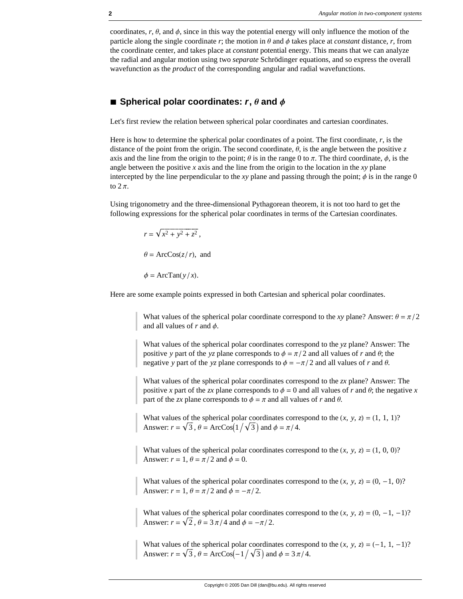coordinates,  $r, \theta$ , and  $\phi$ , since in this way the potential energy will only influence the motion of the particle along the single coordinate  $r$ ; the motion in  $\theta$  and  $\phi$  takes place at *constant* distance,  $r$ , from the coordinate center, and takes place at *constant* potential energy. This means that we can analyze the radial and angular motion using two *separate* Schrödinger equations, and so express the overall wavefunction as the *product* of the corresponding angular and radial wavefunctions.

#### $\blacksquare$  Spherical polar coordinates:  $\mathbf{r}, \mathbf{\theta}$  and  $\mathbf{\phi}$

Let's first review the relation between spherical polar coordinates and cartesian coordinates.

Here is how to determine the spherical polar coordinates of a point. The first coordinate, *r*, is the distance of the point from the origin. The second coordinate,  $\theta$ , is the angle between the positive *z* axis and the line from the origin to the point;  $\theta$  is in the range 0 to  $\pi$ . The third coordinate,  $\phi$ , is the angle between the positive *x* axis and the line from the origin to the location in the *xy* plane intercepted by the line perpendicular to the *xy* plane and passing through the point;  $\phi$  is in the range 0 to  $2\pi$ .

Using trigonometry and the three-dimensional Pythagorean theorem, it is not too hard to get the following expressions for the spherical polar coordinates in terms of the Cartesian coordinates.

> $r = \sqrt{x^2 + y^2 + z^2}$  $\theta = \text{ArcCos}(z/r)$ , and  $\phi = \text{ArcTan}(y/x)$ .

Here are some example points expressed in both Cartesian and spherical polar coordinates.

What values of the spherical polar coordinate correspond to the *xy* plane? Answer:  $\theta = \pi/2$ and all values of  $r$  and  $\phi$ .

What values of the spherical polar coordinates correspond to the *yz* plane? Answer: The positive *y* part of the *yz* plane corresponds to  $\phi = \pi/2$  and all values of *r* and  $\theta$ ; the negative *y* part of the *yz* plane corresponds to  $\phi = -\pi/2$  and all values of *r* and  $\theta$ .

What values of the spherical polar coordinates correspond to the *zx* plane? Answer: The positive *x* part of the *zx* plane corresponds to  $\phi = 0$  and all values of *r* and  $\theta$ ; the negative *x* part of the *zx* plane corresponds to  $\phi = \pi$  and all values of *r* and  $\theta$ .

What values of the spherical polar coordinates correspond to the  $(x, y, z) = (1, 1, 1)$ ? Answer:  $r = \sqrt{3}$ ,  $\theta = \text{ArcCos}(1/\sqrt{3})$  and  $\phi = \pi/4$ .

What values of the spherical polar coordinates correspond to the  $(x, y, z) = (1, 0, 0)$ ? Answer:  $r = 1$ ,  $\theta = \pi/2$  and  $\phi = 0$ .

What values of the spherical polar coordinates correspond to the  $(x, y, z) = (0, -1, 0)$ ? Answer:  $r = 1$ ,  $\theta = \pi/2$  and  $\phi = -\pi/2$ .

What values of the spherical polar coordinates correspond to the  $(x, y, z) = (0, -1, -1)$ ? Answer:  $r = \sqrt{2}$ ,  $\theta = 3 \pi/4$  and  $\phi = -\pi/2$ .

What values of the spherical polar coordinates correspond to the  $(x, y, z) = (-1, 1, -1)$ ? Answer:  $r = \sqrt{3}$ ,  $\theta = \text{ArcCos}(-1/\sqrt{3})$  and  $\phi = 3\pi/4$ .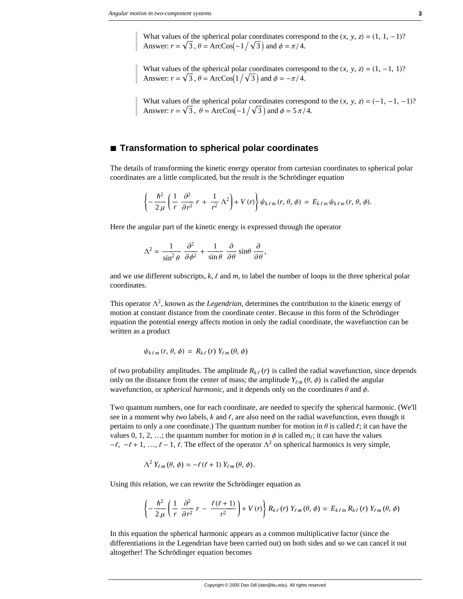What values of the spherical polar coordinates correspond to the  $(x, y, z) = (1, 1, -1)$ ? Answer:  $r = \sqrt{3}$ ,  $\theta = \text{ArcCos}(-1/\sqrt{3})$  and  $\phi = \pi/4$ .

What values of the spherical polar coordinates correspond to the  $(x, y, z) = (1, -1, 1)$ ? Answer:  $r = \sqrt{3}$ ,  $\theta = \text{ArcCos}(1/\sqrt{3})$  and  $\phi = -\pi/4$ .

What values of the spherical polar coordinates correspond to the  $(x, y, z) = (-1, -1, -1)$ ? Answer:  $r = \sqrt{3}$ ,  $\theta = \text{ArcCos}(-1/\sqrt{3})$  and  $\phi = 5\pi/4$ .

#### **à Transformation to spherical polar coordinates**

The details of transforming the kinetic energy operator from cartesian coordinates to spherical polar coordinates are a little complicated, but the result is the Schrödinger equation

$$
\left\{-\frac{\hbar^2}{2\,\mu}\left(\frac{1}{r}\,\frac{\partial^2}{\partial r^2}\,r\,+\,\frac{1}{r^2}\,\Lambda^2\right)+V\left(r\right)\right\}\psi_{k\ell m}\left(r,\,\theta,\,\phi\right)\,=\,E_{k\ell m}\,\psi_{k\ell m}\left(r,\,\theta,\,\phi\right).
$$

Here the angular part of the kinetic energy is expressed through the operator

$$
\Lambda^2 = \frac{1}{\sin^2 \theta} \frac{\partial^2}{\partial \phi^2} + \frac{1}{\sin \theta} \frac{\partial}{\partial \theta} \sin \theta \frac{\partial}{\partial \theta},
$$

and we use different subscripts,  $k$ ,  $\ell$  and  $m$ , to label the number of loops in the three spherical polar coordinates.

This operator  $\Lambda^2$ , known as the *Legendrian*, determines the contribution to the kinetic energy of motion at constant distance from the coordinate center. Because in this form of the Schrödinger equation the potential energy affects motion in only the radial coordinate, the wavefunction can be written as a product

$$
\psi_{k\ell m}(r, \theta, \phi) = R_{k\ell}(r) Y_{\ell m}(\theta, \phi)
$$

of two probability amplitudes. The amplitude  $R_{k\ell}(r)$  is called the radial wavefunction, since depends only on the distance from the center of mass; the amplitude  $Y_{\ell m}(\theta, \phi)$  is called the angular wavefunction, or *spherical harmonic*, and it depends only on the coordinates  $\theta$  and  $\phi$ .

Two quantum numbers, one for each coordinate, are needed to specify the spherical harmonic. (We'll see in a moment why *two* labels, *k* and *f*, are also need on the radial wavefunction, even though it pertains to only a *one* coordinate.) The quantum number for motion in  $\theta$  is called  $\ell$ ; it can have the values 0, 1, 2, ...; the quantum number for motion in  $\phi$  is called  $m_\zeta$ ; it can have the values  $-\ell, -\ell + 1, ..., \ell - 1, \ell$ . The effect of the operator  $\Lambda^2$  on spherical harmonics is very simple,

$$
\Lambda^2 Y_{\ell m}(\theta,\phi) = -\ell(\ell+1) Y_{\ell m}(\theta,\phi).
$$

Using this relation, we can rewrite the Schrödinger equation as

$$
\left\{-\frac{\hbar^2}{2\,\mu}\left(\frac{1}{r}\,\frac{\partial^2}{\partial r^2}\,r-\frac{\ell\,(\ell+1)}{r^2}\right)+V\left(r\right)\right\}R_{k\,\ell}\left(r\right)\,Y_{\ell m}\left(\theta,\,\phi\right)=\,E_{k\,\ell m}\,R_{k\,\ell}\left(r\right)\,Y_{\ell m}\left(\theta,\,\phi\right)
$$

In this equation the spherical harmonic appears as a common multiplicative factor (since the differentiations in the Legendrian have been carried out) on both sides and so we can cancel it out altogether! The Schrödinger equation becomes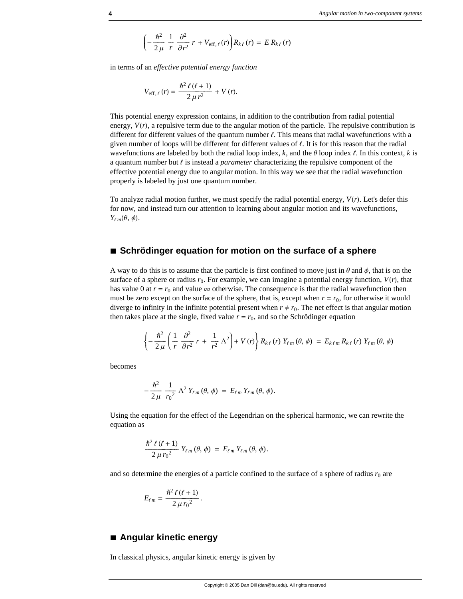$$
\left(-\frac{\hbar^2}{2\,\mu}\,\frac{1}{r}\,\frac{\partial^2}{\partial r^2}\,r + V_{\text{eff},\ell}\,(r)\right)R_{k\,\ell}\,(r) = E\,R_{k\,\ell}\,(r)
$$

in terms of an *effective potential energy function*

$$
V_{\text{eff},\ell}(r) = \frac{\hbar^2 \ell (\ell + 1)}{2 \mu r^2} + V(r).
$$

This potential energy expression contains, in addition to the contribution from radial potential energy,  $V(r)$ , a repulsive term due to the angular motion of the particle. The repulsive contribution is different for different values of the quantum number  $\ell$ . This means that radial wavefunctions with a given number of loops will be different for different values of  $\ell$ . It is for this reason that the radial wavefunctions are labeled by both the radial loop index,  $k$ , and the  $\theta$  loop index  $\ell$ . In this context,  $k$  is a quantum number but  $\ell$  is instead a *parameter* characterizing the repulsive component of the effective potential energy due to angular motion. In this way we see that the radial wavefunction properly is labeled by just one quantum number.

To analyze radial motion further, we must specify the radial potential energy,  $V(r)$ . Let's defer this for now, and instead turn our attention to learning about angular motion and its wavefunctions,  $Y_{\ell m}(\theta, \phi)$ .

#### **à Schrödinger equation for motion on the surface of a sphere**

A way to do this is to assume that the particle is first confined to move just in  $\theta$  and  $\phi$ , that is on the surface of a sphere or radius  $r_0$ . For example, we can imagine a potential energy function,  $V(r)$ , that has value 0 at  $r = r_0$  and value  $\infty$  otherwise. The consequence is that the radial wavefunction then must be zero except on the surface of the sphere, that is, except when  $r = r_0$ , for otherwise it would diverge to infinity in the infinite potential present when  $r \neq r_0$ . The net effect is that angular motion then takes place at the single, fixed value  $r = r_0$ , and so the Schrödinger equation

$$
\left\{-\frac{\hbar^2}{2\,\mu}\left(\frac{1}{r}\,\frac{\partial^2}{\partial r^2}\,r\,+\,\frac{1}{r^2}\,\Lambda^2\right)+V\left(r\right)\right\}R_{k\,\ell}\left(r\right)\,Y_{\ell\,m}\left(\theta,\,\phi\right)\;=\;E_{k\,\ell\,m}\,R_{k\,\ell}\left(r\right)\,Y_{\ell\,m}\left(\theta,\,\phi\right)
$$

becomes

$$
-\frac{\hbar^2}{2\,\mu}\,\frac{1}{r_0^2}\,\Lambda^2\,Y_{\ell m}\,(\theta,\,\phi)\,=\,E_{\ell m}\,Y_{\ell m}\,(\theta,\,\phi).
$$

Using the equation for the effect of the Legendrian on the spherical harmonic, we can rewrite the equation as

$$
\frac{\hbar^2 \ell (\ell+1)}{2 \mu r_0^2} Y_{\ell m}(\theta, \phi) = E_{\ell m} Y_{\ell m}(\theta, \phi).
$$

and so determine the energies of a particle confined to the surface of a sphere of radius  $r_0$  are

$$
E_{\ell m} = \frac{\hbar^2 \ell (\ell + 1)}{2 \mu r_0^2}.
$$

#### **à Angular kinetic energy**

In classical physics, angular kinetic energy is given by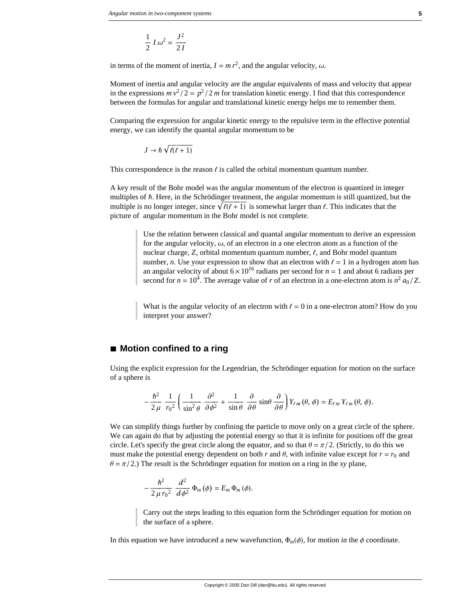$$
\frac{1}{2}I\omega^2 = \frac{J^2}{2I}
$$

in terms of the moment of inertia,  $I = m r^2$ , and the angular velocity,  $\omega$ .

Moment of inertia and angular velocity are the angular equivalents of mass and velocity that appear in the expressions  $mv^2/2 = p^2/2m$  for translation kinetic energy. I find that this correspondence between the formulas for angular and translational kinetic energy helps me to remember them.

Comparing the expression for angular kinetic energy to the repulsive term in the effective potential energy, we can identify the quantal angular momentum to be

$$
J \to \hbar \sqrt{\ell(\ell+1)}
$$

This correspondence is the reason  $\ell$  is called the orbital momentum quantum number.

A key result of the Bohr model was the angular momentum of the electron is quantized in integer multiples of  $\hbar$ . Here, in the Schrödinger treatment, the angular momentum is still quantized, but the multiple is no longer integer, since  $\sqrt{\ell(\ell+1)}$  is somewhat larger than  $\ell$ . This indicates that the picture of angular momentum in the Bohr model is not complete.

> Use the relation between classical and quantal angular momentum to derive an expression for the angular velocity,  $\omega$ , of an electron in a one electron atom as a function of the nuclear charge,  $Z$ , orbital momentum quantum number,  $\ell$ , and Bohr model quantum number, *n*. Use your expression to show that an electron with  $\ell = 1$  in a hydrogen atom has an angular velocity of about  $6 \times 10^{16}$  radians per second for  $n = 1$  and about 6 radians per second for  $n = 10^4$ . The average value of *r* of an electron in a one-electron atom is  $n^2 a_0/Z$ .

> What is the angular velocity of an electron with  $\ell = 0$  in a one-electron atom? How do you interpret your answer?

#### ■ Motion confined to a ring

Using the explicit expression for the Legendrian, the Schrödinger equation for motion on the surface of a sphere is

$$
-\frac{\hbar^2}{2\,\mu}\,\frac{1}{r_0^2}\left(\frac{1}{\sin^2\theta}\,\frac{\partial^2}{\partial\phi^2}+\frac{1}{\sin\theta}\,\frac{\partial}{\partial\theta}\sin\theta\,\frac{\partial}{\partial\theta}\right)Y_{\ell m}(\theta,\phi)=E_{\ell m}\,Y_{\ell m}(\theta,\phi).
$$

We can simplify things further by confining the particle to move only on a great circle of the sphere. We can again do that by adjusting the potential energy so that it is infinite for positions off the great circle. Let's specify the great circle along the equator, and so that  $\theta = \pi/2$ . (Strictly, to do this we must make the potential energy dependent on both *r* and  $\theta$ , with infinite value except for  $r = r_0$  and  $\theta = \pi/2$ .) The result is the Schrödinger equation for motion on a ring in the *xy* plane,

$$
-\frac{\hbar^2}{2\,\mu\,r_0^2}\,\frac{d^2}{d\phi^2}\,\Phi_m\left(\phi\right)=E_m\,\Phi_m\left(\phi\right).
$$

Carry out the steps leading to this equation form the Schrödinger equation for motion on the surface of a sphere.

In this equation we have introduced a new wavefunction,  $\Phi_m(\phi)$ , for motion in the  $\phi$  coordinate.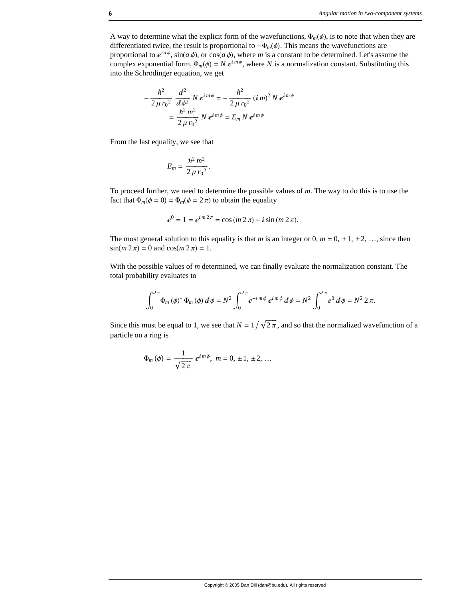A way to determine what the explicit form of the wavefunctions,  $\Phi_m(\phi)$ , is to note that when they are differentiated twice, the result is proportional to  $-\Phi_m(\phi)$ . This means the wavefunctions are proportional to  $e^{ia\phi}$ ,  $\sin(a\phi)$ , or  $\cos(a\phi)$ , where *m* is a constant to be determined. Let's assume the complex exponential form,  $\Phi_m(\phi) = N e^{im\phi}$ , where *N* is a normalization constant. Substituting this into the Schrödinger equation, we get

$$
-\frac{\hbar^2}{2\,\mu\,r_0^2}\,\frac{d^2}{d\phi^2}\,N\,e^{im\phi} = -\frac{\hbar^2}{2\,\mu\,r_0^2}\,(i\,m)^2\,N\,e^{im\phi} =\frac{\hbar^2\,m^2}{2\,\mu\,r_0^2}\,N\,e^{im\phi} = E_m\,N\,e^{im\phi}
$$

From the last equality, we see that

$$
E_m=\frac{\hbar^2\,m^2}{2\,\mu\,r_0^2}.
$$

To proceed further, we need to determine the possible values of *m*. The way to do this is to use the fact that  $\Phi_m(\phi = 0) = \Phi_m(\phi = 2\pi)$  to obtain the equality

$$
e^{0} = 1 = e^{i m 2\pi} = \cos (m 2\pi) + i \sin (m 2\pi).
$$

The most general solution to this equality is that *m* is an integer or 0,  $m = 0, \pm 1, \pm 2, \ldots$ , since then  $sin(m 2 \pi) = 0$  and  $cos(m 2 \pi) = 1$ .

With the possible values of *m* determined, we can finally evaluate the normalization constant. The total probability evaluates to

$$
\int_0^{2\pi} \Phi_m(\phi)^* \Phi_m(\phi) d\phi = N^2 \int_0^{2\pi} e^{-im\phi} e^{im\phi} d\phi = N^2 \int_0^{2\pi} e^0 d\phi = N^2 2\pi.
$$

Since this must be equal to 1, we see that  $N = 1/\sqrt{2\pi}$ , and so that the normalized wavefunction of a particle on a ring is

$$
\Phi_m(\phi) = \frac{1}{\sqrt{2\pi}} e^{im\phi}, \ m = 0, \pm 1, \pm 2, \dots
$$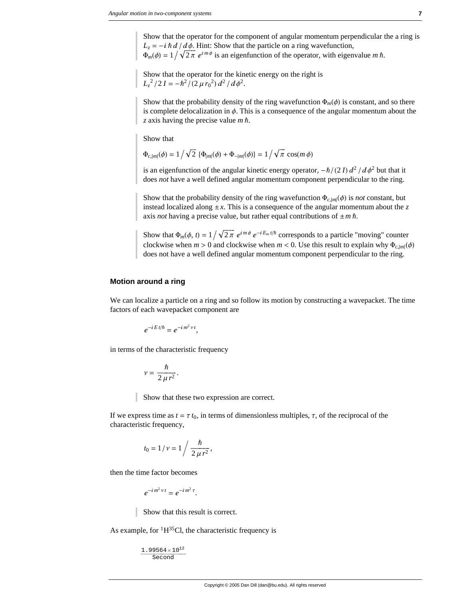Show that the operator for the component of angular momentum perpendicular the a ring is  $L_z = -i \hbar d / d\phi$ . Hint: Show that the particle on a ring wavefunction,  $\Phi_m(\phi) = 1 / \sqrt{2\pi} e^{im\phi}$  is an eigenfunction of the operator, with eigenvalue *m*  $\hbar$ .

Show that the operator for the kinetic energy on the right is  $L_z^2/2I = -\hbar^2/(2 \mu r_0^2) d^2/d\phi^2$ .

Show that the probability density of the ring wavefunction  $\Phi_m(\phi)$  is constant, and so there is complete delocalization in  $\phi$ . This is a consequence of the angular momentum about the *z* axis having the precise value *m* Ñ.

Show that

 $\Phi_{c,|m|}(\phi) = 1 / \sqrt{2} \{ \Phi_{|m|}(\phi) + \Phi_{-|m|}(\phi) \} = 1 / \sqrt{\pi} \cos(m \phi)$ 

is an eigenfunction of the angular kinetic energy operator,  $-\hbar/(2 I) d^2 / d\phi^2$  but that it does *not* have a well defined angular momentum component perpendicular to the ring.

Show that the probability density of the ring wavefunction  $\Phi_{c,|m|}(\phi)$  is *not* constant, but instead localized along  $\pm x$ . This is a consequence of the angular momentum about the *z* axis *not* having a precise value, but rather equal contributions of  $\pm m \hbar$ .

Show that  $\Phi_m(\phi, t) = 1 / \sqrt{2\pi} e^{i m \phi} e^{-i E_m t / \hbar}$  corresponds to a particle "moving" counter clockwise when  $m > 0$  and clockwise when  $m < 0$ . Use this result to explain why  $\Phi_{c,|m|}(\phi)$ does not have a well defined angular momentum component perpendicular to the ring.

#### **Motion around a ring**

We can localize a particle on a ring and so follow its motion by constructing a wavepacket. The time factors of each wavepacket component are

$$
e^{-iE t/\hbar} = e^{-i m^2 v t},
$$

in terms of the characteristic frequency

$$
v=\frac{\hbar}{2\,\mu\,r^2}.
$$

Show that these two expression are correct.

If we express time as  $t = \tau t_0$ , in terms of dimensionless multiples,  $\tau$ , of the reciprocal of the characteristic frequency,

$$
t_0 = 1 / \nu = 1 / \frac{\hbar}{2 \mu r^2},
$$

then the time factor becomes

$$
e^{-im^2 \nu t}=e^{-im^2 \tau}.
$$

Show that this result is correct.

As example, for  ${}^{1}H^{35}Cl$ , the characteristic frequency is

 $1.99564\times10^{12}$ Second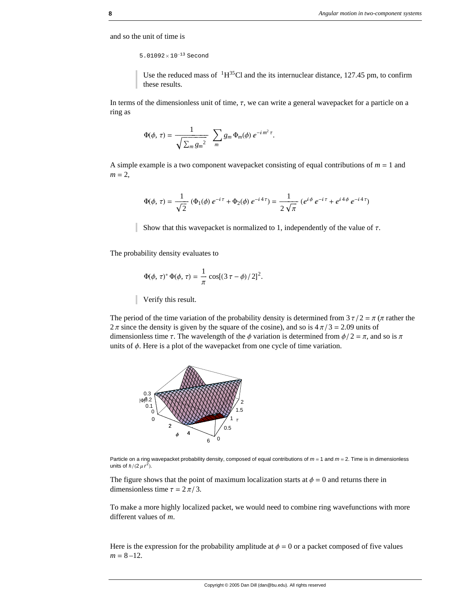and so the unit of time is

5.01092× 10−<sup>13</sup> Second

Use the reduced mass of  $\mathrm{^{1}H^{35}Cl}$  and the its internuclear distance, 127.45 pm, to confirm these results.

In terms of the dimensionless unit of time,  $\tau$ , we can write a general wavepacket for a particle on a ring as

$$
\Phi(\phi,\,\tau)=\frac{1}{\sqrt{\sum_m g_m^2}}\;\;\sum_m g_m\,\Phi_m(\phi)\,e^{-im^2\,\tau}.
$$

A simple example is a two component wavepacket consisting of equal contributions of  $m = 1$  and  $m = 2$ ,

$$
\Phi(\phi,\,\tau) = \frac{1}{\sqrt{2}} \left( \Phi_1(\phi) \, e^{-i\,\tau} + \Phi_2(\phi) \, e^{-i\,4\,\tau} \right) = \frac{1}{2\,\sqrt{\pi}} \left( e^{i\,\phi} \, e^{-i\,\tau} + e^{i\,4\,\phi} \, e^{-i\,4\,\tau} \right)
$$

Show that this wavepacket is normalized to 1, independently of the value of  $\tau$ .

The probability density evaluates to

$$
\Phi(\phi, \tau)^* \Phi(\phi, \tau) = \frac{1}{\pi} \cos[(3 \tau - \phi)/2]^2.
$$

Verify this result.

The period of the time variation of the probability density is determined from  $3\tau/2 = \pi$  ( $\pi$  rather the  $2\pi$  since the density is given by the square of the cosine), and so is  $4\pi/3 = 2.09$  units of dimensionless time  $\tau$ . The wavelength of the  $\phi$  variation is determined from  $\phi/2 = \pi$ , and so is  $\pi$ units of  $\phi$ . Here is a plot of the wavepacket from one cycle of time variation.



Particle on a ring wavepacket probability density, composed of equal contributions of *m* = 1 and *m* = 2. Time is in dimensionless units of  $\hbar/(2 \mu r^2)$ .

The figure shows that the point of maximum localization starts at  $\phi = 0$  and returns there in dimensionless time  $\tau = 2 \pi / 3$ .

To make a more highly localized packet, we would need to combine ring wavefunctions with more different values of *m*.

Here is the expression for the probability amplitude at  $\phi = 0$  or a packet composed of five values  $m = 8 - 12$ .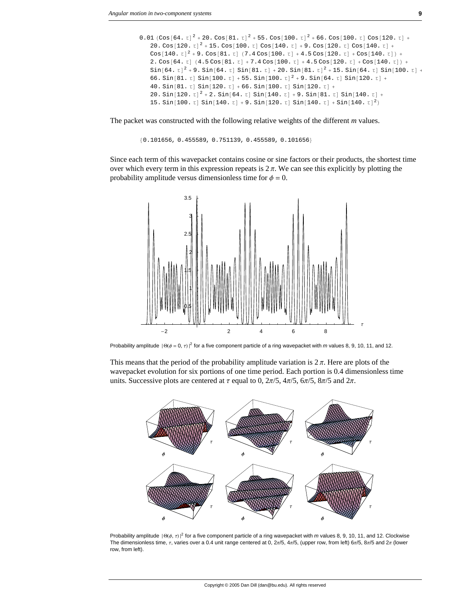```
0.01 (Cos[64. t]^2 + 20. Cos[81. t]^2 + 55. Cos[100. t]^2 + 66. Cos[100. t] Cos[120. t] +20. Cos[120. \tau]^2 + 15. Cos[100. \tau] Cos[140. \tau] + 9. Cos[120. \tau] Cos[140. \tau] +
Cos[140. \tau]^2 + 9. Cos[81. \tau] (7.4 \cos[100. \tau] + 4.5 \cos[120. \tau] + \cos[140. \tau]) +
2. \cos[64. t] (4.5 \cos[81. t] + 7.4 \cos[100. t] + 4.5 \cos[120. t] + \cos[140. t]) +Sin[64. \tau]<sup>2</sup> + 9. Sin[64. \tau] Sin[81. \tau] + 20. Sin[81. \tau]<sup>2</sup> + 15. Sin[64. \tau] Sin[100. \tau] +
66. Sin[81. t] Sin[100. t] + 55. Sin[100. t]<sup>2</sup> + 9. Sin[64. t] Sin[120. t] +
40. \sin[81. \tau] \sin[120. \tau] + 66. \sin[100. \tau] \sin[120. \tau] +20. Sin[120. \tau]^2 + 2. Sin[64. \tau] Sin[140. \tau] + 9. Sin[81. \tau] Sin[140. \tau] +
15. Sin[100. \tau] Sin[140. \tau] + 9. Sin[120. \tau] Sin[140. \tau] + Sin[140. \tau]<sup>2</sup>)
```
The packet was constructed with the following relative weights of the different *m* values.

```
{0.101656, 0.455589, 0.751139, 0.455589, 0.101656}
```
Since each term of this wavepacket contains cosine or sine factors or their products, the shortest time over which every term in this expression repeats is  $2\pi$ . We can see this explicitly by plotting the probability amplitude versus dimensionless time for  $\phi = 0$ .



Probability amplitude  $|\Theta(\phi = 0, \tau)|^2$  for a five component particle of a ring wavepacket with *m* values 8, 9, 10, 11, and 12.

This means that the period of the probability amplitude variation is  $2\pi$ . Here are plots of the wavepacket evolution for six portions of one time period. Each portion is 0.4 dimensionless time units. Successive plots are centered at  $\tau$  equal to 0,  $2\pi/5$ ,  $4\pi/5$ ,  $6\pi/5$ ,  $8\pi/5$  and  $2\pi$ .



Probability amplitude  $|\Theta(\phi, \tau)|^2$  for a five component particle of a ring wavepacket with *m* values 8, 9, 10, 11, and 12. Clockwise The dimensionless time,  $\tau$ , varies over a 0.4 unit range centered at 0,  $2\pi/5$ ,  $4\pi/5$ , (upper row, from left)  $6\pi/5$ ,  $8\pi/5$  and  $2\pi$  (lower row, from left).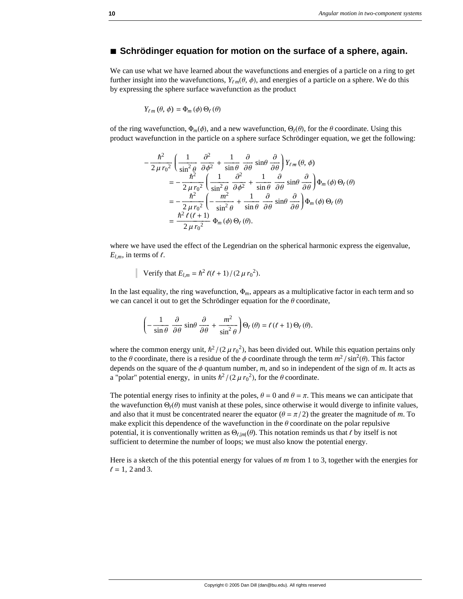#### **à Schrödinger equation for motion on the surface of a sphere, again.**

We can use what we have learned about the wavefunctions and energies of a particle on a ring to get further insight into the wavefunctions,  $Y_{\ell m}(\theta, \phi)$ , and energies of a particle on a sphere. We do this by expressing the sphere surface wavefunction as the product

$$
Y_{\ell m}(\theta,\phi)=\Phi_m(\phi)\,\Theta_\ell(\theta)
$$

of the ring wavefunction,  $\Phi_m(\phi)$ , and a new wavefunction,  $\Theta_\ell(\theta)$ , for the  $\theta$  coordinate. Using this product wavefunction in the particle on a sphere surface Schrödinger equation, we get the following:

$$
-\frac{\hbar^2}{2\,\mu\,r_0^2} \left( \frac{1}{\sin^2\theta} \frac{\partial^2}{\partial \phi^2} + \frac{1}{\sin\theta} \frac{\partial}{\partial \theta} \sin\theta \frac{\partial}{\partial \theta} \right) Y_{\ell m}(\theta, \phi)
$$
  

$$
= -\frac{\hbar^2}{2\,\mu\,r_0^2} \left( \frac{1}{\sin^2\theta} \frac{\partial^2}{\partial \phi^2} + \frac{1}{\sin\theta} \frac{\partial}{\partial \theta} \sin\theta \frac{\partial}{\partial \theta} \right) \Phi_m(\phi) \Theta_\ell(\theta)
$$
  

$$
= -\frac{\hbar^2}{2\,\mu\,r_0^2} \left( -\frac{m^2}{\sin^2\theta} + \frac{1}{\sin\theta} \frac{\partial}{\partial \theta} \sin\theta \frac{\partial}{\partial \theta} \right) \Phi_m(\phi) \Theta_\ell(\theta)
$$
  

$$
= \frac{\hbar^2 \ell(\ell+1)}{2\,\mu\,r_0^2} \Phi_m(\phi) \Theta_\ell(\theta).
$$

where we have used the effect of the Legendrian on the spherical harmonic express the eigenvalue,  $E_{l,m}$ , in terms of  $l$ .

Verify that 
$$
E_{l,m} = \hbar^2 \ell(\ell+1)/(2 \mu r_0^2)
$$
.

In the last equality, the ring wavefunction,  $\Phi_m$ , appears as a multiplicative factor in each term and so we can cancel it out to get the Schrödinger equation for the  $\theta$  coordinate,

$$
\left(-\frac{1}{\sin\theta} \frac{\partial}{\partial \theta} \sin\theta \frac{\partial}{\partial \theta} + \frac{m^2}{\sin^2\theta}\right) \Theta_\ell (\theta) = \ell (\ell + 1) \Theta_\ell (\theta).
$$

where the common energy unit,  $\hbar^2/(2 \mu r_0^2)$ , has been divided out. While this equation pertains only to the  $\theta$  coordinate, there is a residue of the  $\phi$  coordinate through the term  $m^2 / \sin^2(\theta)$ . This factor depends on the square of the  $\phi$  quantum number,  $m$ , and so in independent of the sign of  $m$ . It acts as a "polar" potential energy, in units  $\hbar^2/(2 \mu r_0^2)$ , for the  $\theta$  coordinate.

The potential energy rises to infinity at the poles,  $\theta = 0$  and  $\theta = \pi$ . This means we can anticipate that the wavefunction  $\Theta_\ell(\theta)$  must vanish at these poles, since otherwise it would diverge to infinite values, and also that it must be concentrated nearer the equator  $(\theta = \pi/2)$  the greater the magnitude of *m*. To make explicit this dependence of the wavefunction in the  $\theta$  coordinate on the polar repulsive potential, it is conventionally written as  $\Theta_{\ell,m}(\theta)$ . This notation reminds us that  $\ell$  by itself is not sufficient to determine the number of loops; we must also know the potential energy.

Here is a sketch of the this potential energy for values of *m* from 1 to 3, together with the energies for  $l = 1, 2$  and 3.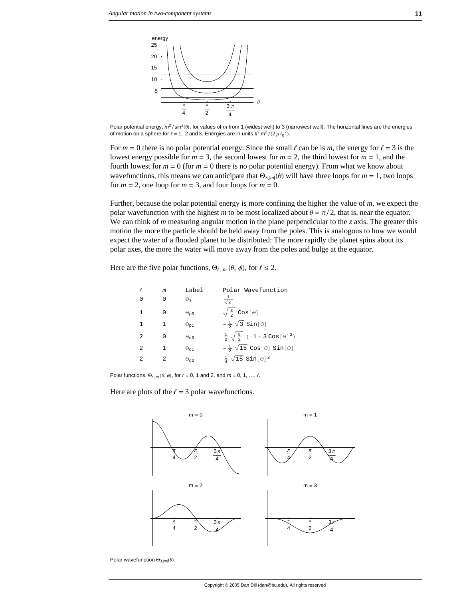

Polar potential energy,  $m^2$ /sin<sup>2</sup>( $\theta$ ), for values of  $m$  from 1 (widest well) to 3 (narrowest well). The horizontal lines are the energies of motion on a sphere for  $l = 1$ , 2 and 3. Energies are in units  $\hbar^2 m^2 / (2 \mu r_0^2)$ .

For  $m = 0$  there is no polar potential energy. Since the small  $\ell$  can be is  $m$ , the energy for  $\ell = 3$  is the lowest energy possible for  $m = 3$ , the second lowest for  $m = 2$ , the third lowest for  $m = 1$ , and the fourth lowest for  $m = 0$  (for  $m = 0$  there is no polar potential energy). From what we know about wavefunctions, this means we can anticipate that  $\Theta_{3,m}(\theta)$  will have three loops for *m* = 1, two loops for  $m = 2$ , one loop for  $m = 3$ , and four loops for  $m = 0$ .

Further, because the polar potential energy is more confining the higher the value of *m*, we expect the polar wavefunction with the highest *m* to be most localized about  $\theta = \pi/2$ , that is, near the equator. We can think of *m* measuring angular motion in the plane perpendicular to the *z* axis. The greater this motion the more the particle should be held away from the poles. This is analogous to how we would expect the water of a flooded planet to be distributed: The more rapidly the planet spins about its polar axes, the more the water will move away from the poles and bulge at the equator.

Here are the five polar functions,  $\Theta_{\ell,|m|}(\theta, \phi)$ , for  $\ell \leq 2$ .

|                | m | Label                   | Polar Wavefunction                                                      |
|----------------|---|-------------------------|-------------------------------------------------------------------------|
| U              | 0 | $\Theta_{\mathbf{S}}$   | $\frac{1}{\sqrt{2}}$                                                    |
| 1              |   | $\Theta_{\mathbf{p}0}$  | $\sqrt{\frac{3}{2}}$ Cos[ $\theta$ ]                                    |
| 1              |   | $\Theta_{p1}$           | $-\frac{1}{2}$ $\sqrt{3}$ Sin[ $\theta$ ]                               |
| $\mathfrak{D}$ |   | $\Theta$ dn             | $\frac{1}{2}$ $\sqrt{\frac{5}{2}}$ (-1+3 Cos[ $\theta$ ] <sup>2</sup> ) |
| $\mathfrak{D}$ |   | $\Theta_{d1}$           | $-\frac{1}{2}$ $\sqrt{15}$ Cos[ $\theta$ ] Sin[ $\theta$ ]              |
| $\mathfrak{D}$ |   | $\Theta$ d <sub>2</sub> | $\frac{1}{4}$ $\sqrt{15}$ Sin[ $\theta$ ] <sup>2</sup>                  |

Polar functions,  $\Theta_{\ell, |m|}(\theta, \phi)$ , for  $\ell = 0, 1$  and 2, and  $m = 0, 1, ..., \ell$ .

Here are plots of the  $\ell = 3$  polar wavefunctions.



Polar wavefunction  $\Theta_{3,|m|}(\theta)$ .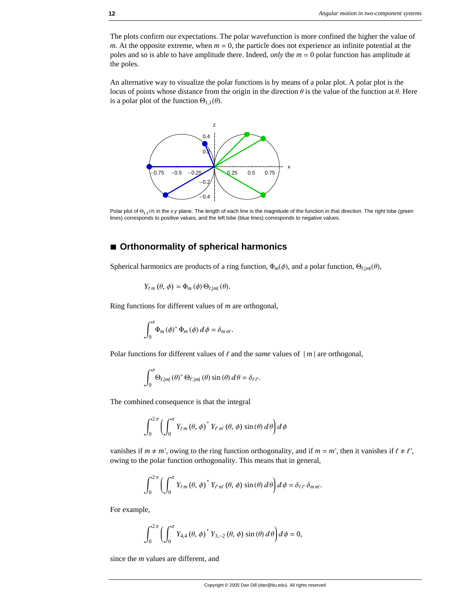The plots confirm our expectations. The polar wavefunction is more confined the higher the value of *m*. At the opposite extreme, when  $m = 0$ , the particle does not experience an infinite potential at the poles and so is able to have amplitude there. Indeed, *only* the *m* = 0 polar function has amplitude at the poles.

An alternative way to visualize the polar functions is by means of a polar plot. A polar plot is the locus of points whose distance from the origin in the direction  $\theta$  is the value of the function at  $\theta$ . Here is a polar plot of the function  $\Theta_{1,1}(\theta)$ .



Polar plot of  $\Theta_{1,1}(\theta)$  in the *xy* plane. The length of each line is the magnitude of the function in that direction. The right lobe (green lines) corresponds to positive values, and the left lobe (blue lines) corresponds to negative values.

#### **à Orthonormality of spherical harmonics**

Spherical harmonics are products of a ring function,  $\Phi_m(\phi)$ , and a polar function,  $\Theta_{\ell,|m|}(\theta)$ ,

$$
Y_{\ell m}(\theta,\phi)=\Phi_m(\phi)\,\Theta_{\ell,|m|}(\theta).
$$

Ring functions for different values of *m* are orthogonal,

$$
\int_0^{\pi} \Phi_m(\phi)^* \Phi_m(\phi) d\phi = \delta_{m m}.
$$

Polar functions for different values of  $\ell$  and the *same* values of  $|m|$  are orthogonal,

$$
\int_0^{\pi} \Theta_{\ell,|m|}(\theta)^* \Theta_{\ell,|m|}(\theta) \sin(\theta) d\theta = \delta_{\ell\ell}.
$$

The combined consequence is that the integral

$$
\int_0^{2\pi} \left( \int_0^{\pi} Y_{\ell m}(\theta, \phi)^* Y_{\ell' m'}(\theta, \phi) \sin(\theta) d\theta \right) d\phi
$$

vanishes if  $m \neq m'$ , owing to the ring function orthogonality, and if  $m = m'$ , then it vanishes if  $\ell \neq \ell'$ , owing to the polar function orthogonality. This means that in general,

$$
\int_0^{2\pi} \left( \int_0^{\pi} Y_{\ell m}(\theta, \phi)^* Y_{\ell m'}(\theta, \phi) \sin(\theta) d\theta \right) d\phi = \delta_{\ell \ell'} \delta_{mm'}.
$$

For example,

$$
\int_0^{2\pi} \left( \int_0^{\pi} Y_{4,4} (\theta, \phi)^* Y_{3,-2} (\theta, \phi) \sin(\theta) d\theta \right) d\phi = 0,
$$

since the *m* values are different, and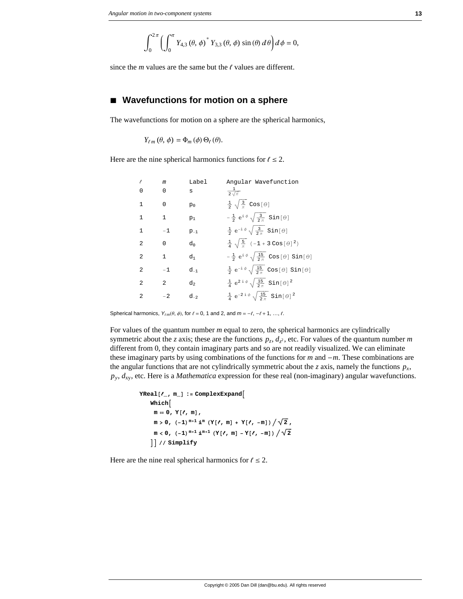$$
\int_0^{2\pi} \left( \int_0^{\pi} Y_{4,3} (\theta, \phi)^* Y_{3,3} (\theta, \phi) \sin(\theta) d\theta \right) d\phi = 0,
$$

since the  $m$  values are the same but the  $\ell$  values are different.

#### ■ Wavefunctions for motion on a sphere

The wavefunctions for motion on a sphere are the spherical harmonics,

$$
Y_{\ell m}(\theta,\phi)=\Phi_m(\phi)\,\Theta_\ell(\theta).
$$

Here are the nine spherical harmonics functions for  $\ell \le 2$ .

| ℓ              | m              | Label          | Angular Wavefunction                                                    |
|----------------|----------------|----------------|-------------------------------------------------------------------------|
| U              | $\Omega$       | S              | $rac{1}{2\sqrt{\pi}}$                                                   |
| 1              | $\Omega$       | $p_0$          | $\frac{1}{2}$ $\sqrt{\frac{3}{\pi}}$ Cos[ $\theta$ ]                    |
| 1              | 1              | $p_1$          | $-\frac{1}{2}e^{i\phi}\sqrt{\frac{3}{2\pi}}\sin[\theta]$                |
| 1              | $-1$           | $p_{-1}$       | $\frac{1}{2} e^{-i \phi} \sqrt{\frac{3}{2 \pi}} \sin[\theta]$           |
| $\mathfrak{D}$ | $\Omega$       | d <sub>n</sub> | $\frac{1}{4} \sqrt{\frac{5}{\pi}} (-1 + 3 \cos [\theta]^2)$             |
| $\mathfrak{D}$ | $\mathbf{1}$   | d1             | $-\frac{1}{2}e^{i\phi}\sqrt{\frac{15}{2\pi}} \cos[\theta] \sin[\theta]$ |
| $\mathfrak{D}$ | $-1$           | $d_{-1}$       | $\frac{1}{2}e^{-i\phi}\sqrt{\frac{15}{2\pi}}\cos[\theta]\sin[\theta]$   |
| $\mathfrak{D}$ | $\mathfrak{D}$ | d <sub>2</sub> | $\frac{1}{4} e^{2 i \phi} \sqrt{\frac{15}{2 \pi}}$ Sin $[\theta]^2$     |
| $\mathfrak{D}$ | $-2$           | $d_{-2}$       | $\frac{1}{4} e^{-2 i \phi} \sqrt{\frac{15}{2 \pi}} \sin [\theta]^2$     |

Spherical harmonics,  $Y_{\ell m}(\theta, \phi)$ , for  $\ell = 0, 1$  and 2, and  $m = -\ell, -\ell + 1, ..., \ell$ .

For values of the quantum number *m* equal to zero, the spherical harmonics are cylindrically symmetric about the *z* axis; these are the functions  $p_z$ ,  $d_{z^2}$ , etc. For values of the quantum number *m* different from 0, they contain imaginary parts and so are not readily visualized. We can eliminate these imaginary parts by using combinations of the functions for *m* and -*m*. These combinations are the angular functions that are not cylindrically symmetric about the *z* axis, namely the functions  $p_x$ , *py*, *d*xy, etc. Here is a *Mathematica* expression for these real (non-imaginary) angular wavefunctions.

```
YReal[, m] := ComplexExpand
Whichm = 0, Y[, m],m > 0, (-1)^{m+1} \mathbf{i}^m (Y[\ell, m] + Y[\ell, -m]) / \sqrt{2},
 m < 0, (-1)^{m+1} \dot{m}^{m+1} (Y[\ell, m] - Y[\ell, -m]) / \sqrt{2}EE êê Simplify
```
Here are the nine real spherical harmonics for  $\ell \le 2$ .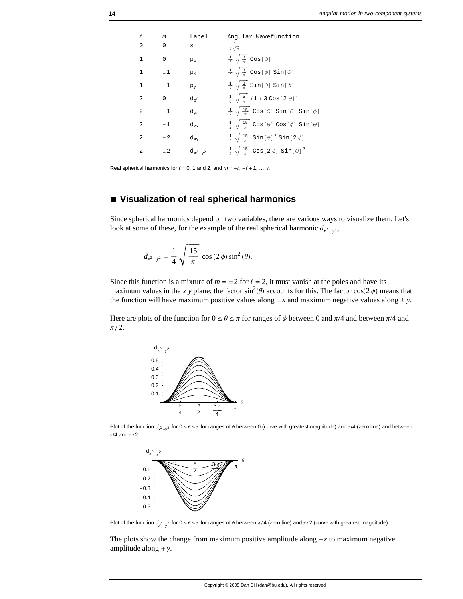

Real spherical harmonics for  $\ell = 0, 1$  and 2, and  $m = -\ell, -\ell + 1, ..., \ell$ .

#### **à Visualization of real spherical harmonics**

Since spherical harmonics depend on two variables, there are various ways to visualize them. Let's look at some of these, for the example of the real spherical harmonic  $d_{x^2-y^2}$ ,

$$
d_{x^2-y^2} = \frac{1}{4} \sqrt{\frac{15}{\pi}} \cos(2\phi) \sin^2(\theta).
$$

Since this function is a mixture of  $m = \pm 2$  for  $\ell = 2$ , it must vanish at the poles and have its maximum values in the *x* y plane; the factor sin<sup>2</sup>( $\theta$ ) accounts for this. The factor cos( $2\phi$ ) means that the function will have maximum positive values along  $\pm x$  and maximum negative values along  $\pm y$ .

Here are plots of the function for  $0 \le \theta \le \pi$  for ranges of  $\phi$  between 0 and  $\pi/4$  and between  $\pi/4$  and  $\pi/2$ .



Plot of the function  $d_{x^2-y^2}$  for  $0 \le \theta \le \pi$  for ranges of  $\phi$  between 0 (curve with greatest magnitude) and  $\pi/4$  (zero line) and between  $\pi/4$  and  $\pi/2$ .



Plot of the function  $d_{x^2-y^2}$  for  $0 \le \theta \le \pi$  for ranges of  $\phi$  between  $\pi/4$  (zero line) and  $\pi/2$  (curve with greatest magnitude).

The plots show the change from maximum positive amplitude along  $+x$  to maximum negative amplitude along +*y*.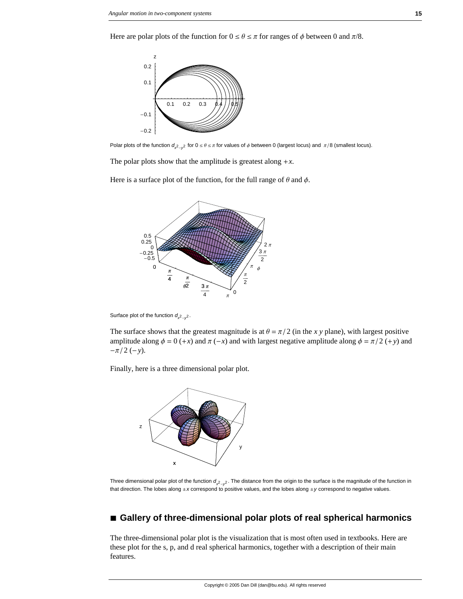Here are polar plots of the function for  $0 \le \theta \le \pi$  for ranges of  $\phi$  between 0 and  $\pi/8$ .



Polar plots of the function  $d_{x^2-y^2}$  for  $0 \le \theta \le \pi$  for values of  $\phi$  between 0 (largest locus) and  $\pi/8$  (smallest locus).

The polar plots show that the amplitude is greatest along  $+x$ .

Here is a surface plot of the function, for the full range of  $\theta$  and  $\phi$ .



Surface plot of the function  $d_{x^2-y^2}$ .

The surface shows that the greatest magnitude is at  $\theta = \pi/2$  (in the *x y* plane), with largest positive amplitude along  $\phi = 0 + x$  and  $\pi(-x)$  and with largest negative amplitude along  $\phi = \pi/2 + y$  and  $-\pi/2$  (-*y*).

Finally, here is a three dimensional polar plot.



Three dimensional polar plot of the function  $d_{x-y^2}$ . The distance from the origin to the surface is the magnitude of the function in that direction. The lobes along ±*x* correspond to positive values, and the lobes along ±*y* correspond to negative values.

#### **à Gallery of three-dimensional polar plots of real spherical harmonics**

The three-dimensional polar plot is the visualization that is most often used in textbooks. Here are these plot for the s, p, and d real spherical harmonics, together with a description of their main features.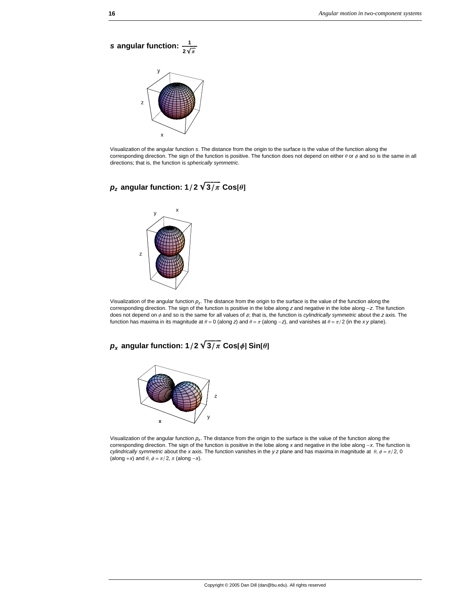**s** angular function:  $\frac{1}{2\sqrt{\pi}}$ y z

x

Visualization of the angular function *s*. The distance from the origin to the surface is the value of the function along the corresponding direction. The sign of the function is positive. The function does not depend on either  $\theta$  or  $\phi$  and so is the same in all directions; that is, the function is *spherically symmetric*.

### $p_z$  angular function:  $1/2 \sqrt{3/\pi}$  Cos $[\theta]$



Visualization of the angular function *pz*. The distance from the origin to the surface is the value of the function along the corresponding direction. The sign of the function is positive in the lobe along *z* and negative in the lobe along -*z*. The function does not depend on  $\phi$  and so is the same for all values of  $\phi$ ; that is, the function is *cylindrically symmetric* about the *z* axis. The function has maxima in its magnitude at  $\theta = 0$  (along *z*) and  $\theta = \pi$  (along -*z*), and vanishes at  $\theta = \pi/2$  (in the *xy* plane).

### *p<sub>x</sub>* **angular function:**  $1/2 \sqrt{3/\pi}$  **Cos** $[\phi]$  **Sin** $[\theta]$



Visualization of the angular function *px*. The distance from the origin to the surface is the value of the function along the corresponding direction. The sign of the function is positive in the lobe along *x* and negative in the lobe along -*x*. The function is *cylindrically symmetric* about the *x* axis. The function vanishes in the *y* z plane and has maxima in magnitude at  $\theta$ ,  $\phi = \pi/2$ , 0 (along +*x*) and  $\theta$ ,  $\phi = \pi/2$ ,  $\pi$  (along -*x*).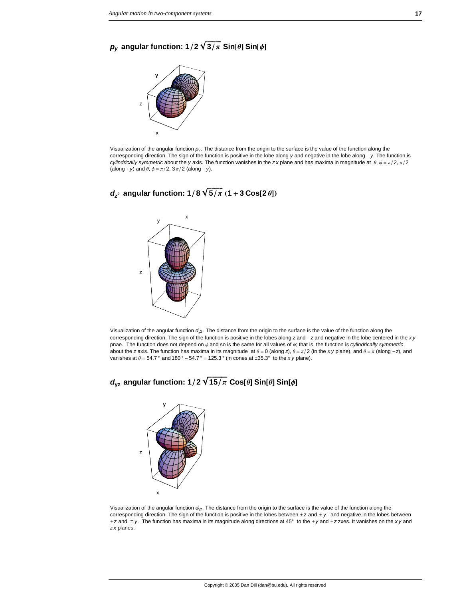### $p_v$  angular function:  $1/2 \sqrt{3/\pi}$  Sin[ $\theta$ ] Sin[ $\phi$ ]



Visualization of the angular function *py* . The distance from the origin to the surface is the value of the function along the corresponding direction. The sign of the function is positive in the lobe along *y* and negative in the lobe along -*y*. The function is *cylindrically symmetric* about the *y* axis. The function vanishes in the *zx* plane and has maxima in magnitude at  $\theta$ ,  $\phi = \pi/2$ ,  $\pi/2$ (along +*y*) and  $\theta$ ,  $\phi = \pi/2$ ,  $3\pi/2$  (along -*y*).





Visualization of the angular function  $d_2$ . The distance from the origin to the surface is the value of the function along the corresponding direction. The sign of the function is positive in the lobes along *z* and -*z* and negative in the lobe centered in the *x y* pnae. The function does not depend on  $\phi$  and so is the same for all values of  $\phi$ ; that is, the function is *cylindrically symmetric* about the *z* axis. The function has maxima in its magnitude at  $\theta = 0$  (along *z*),  $\theta = \pi/2$  (in the *xy* plane), and  $\theta = \pi$  (along -*z*), and vanishes at  $\theta = 54.7^\circ$  and  $180^\circ - 54.7^\circ = 125.3^\circ$  (in cones at  $\pm 35.3^\circ$  to the *xy* plane).





Visualization of the angular function *d*yz. The distance from the origin to the surface is the value of the function along the corresponding direction. The sign of the function is positive in the lobes between  $\pm z$  and  $\pm y$ , and negative in the lobes between ≤*z* and ¡ *y*. The function has maxima in its magnitude along directions at 45° to the ≤*y* and ≤*z* zxes. It vanishes on the *x y* and *z x* planes.